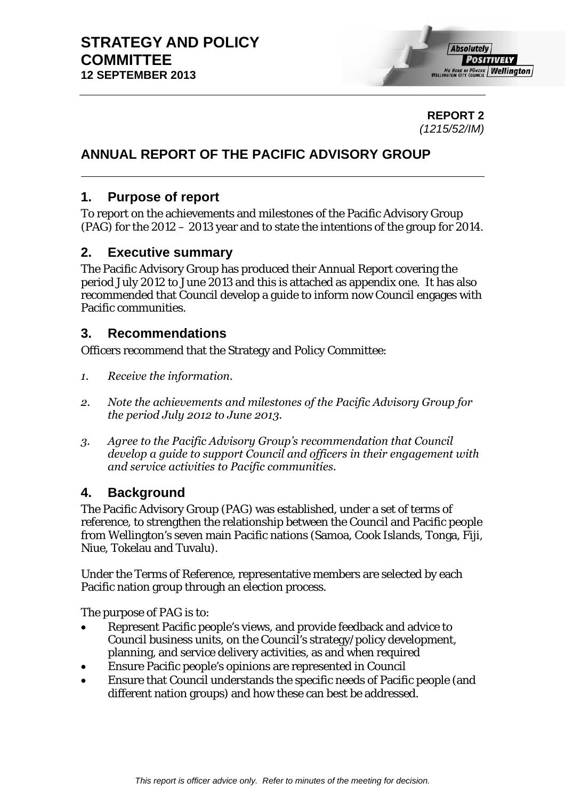

**REPORT 2**  *(1215/52/IM)* 

# **ANNUAL REPORT OF THE PACIFIC ADVISORY GROUP**

# **1. Purpose of report**

To report on the achievements and milestones of the Pacific Advisory Group (PAG) for the 2012 – 2013 year and to state the intentions of the group for 2014.

# **2. Executive summary**

The Pacific Advisory Group has produced their Annual Report covering the period July 2012 to June 2013 and this is attached as appendix one. It has also recommended that Council develop a guide to inform now Council engages with Pacific communities.

# **3. Recommendations**

Officers recommend that the Strategy and Policy Committee:

- *1. Receive the information.*
- *2. Note the achievements and milestones of the Pacific Advisory Group for the period July 2012 to June 2013.*
- *3. Agree to the Pacific Advisory Group's recommendation that Council develop a guide to support Council and officers in their engagement with and service activities to Pacific communities.*

# **4. Background**

The Pacific Advisory Group (PAG) was established, under a set of terms of reference, to strengthen the relationship between the Council and Pacific people from Wellington's seven main Pacific nations (Samoa, Cook Islands, Tonga, Fiji, Niue, Tokelau and Tuvalu).

Under the Terms of Reference, representative members are selected by each Pacific nation group through an election process.

The purpose of PAG is to:

- Represent Pacific people's views, and provide feedback and advice to Council business units, on the Council's strategy/policy development, planning, and service delivery activities, as and when required
- Ensure Pacific people's opinions are represented in Council
- Ensure that Council understands the specific needs of Pacific people (and different nation groups) and how these can best be addressed.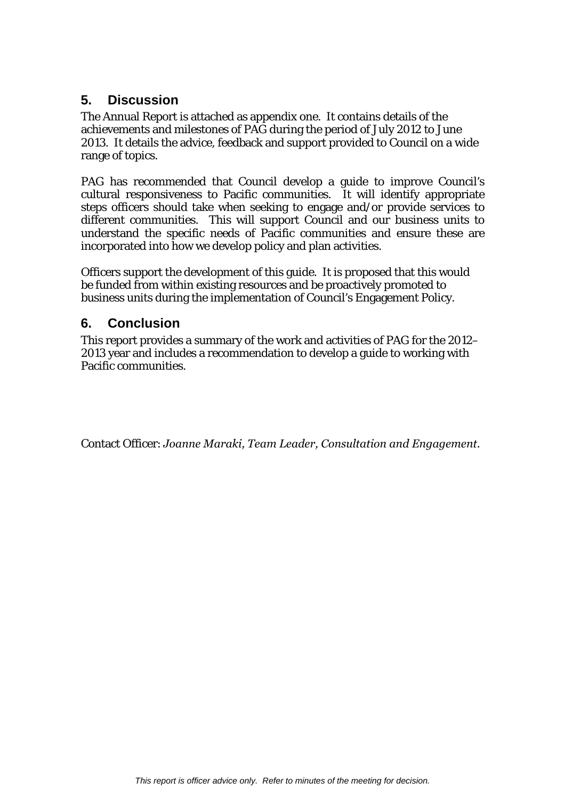# **5. Discussion**

The Annual Report is attached as appendix one. It contains details of the achievements and milestones of PAG during the period of July 2012 to June 2013. It details the advice, feedback and support provided to Council on a wide range of topics.

PAG has recommended that Council develop a guide to improve Council's cultural responsiveness to Pacific communities. It will identify appropriate steps officers should take when seeking to engage and/or provide services to different communities. This will support Council and our business units to understand the specific needs of Pacific communities and ensure these are incorporated into how we develop policy and plan activities.

Officers support the development of this guide. It is proposed that this would be funded from within existing resources and be proactively promoted to business units during the implementation of Council's Engagement Policy.

# **6. Conclusion**

This report provides a summary of the work and activities of PAG for the 2012– 2013 year and includes a recommendation to develop a guide to working with Pacific communities.

Contact Officer: *Joanne Maraki, Team Leader, Consultation and Engagement.*